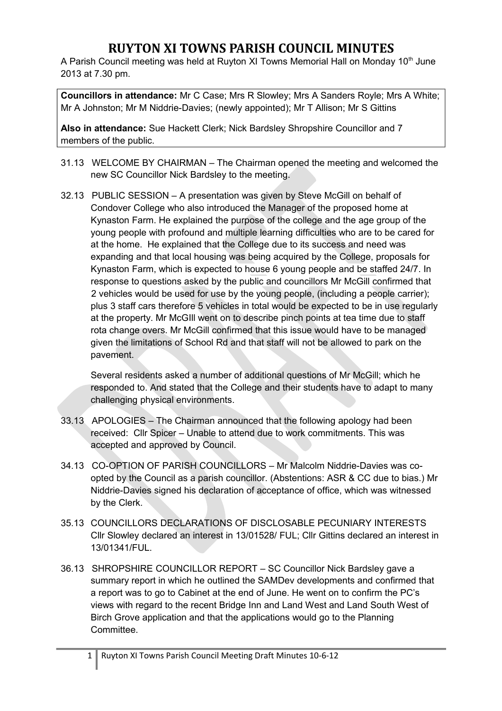## **RUYTON XI TOWNS PARISH COUNCIL MINUTES**

A Parish Council meeting was held at Ruyton XI Towns Memorial Hall on Monday 10<sup>th</sup> June 2013 at 7.30 pm.

**Councillors in attendance:** Mr C Case; Mrs R Slowley; Mrs A Sanders Royle; Mrs A White; Mr A Johnston; Mr M Niddrie-Davies; (newly appointed); Mr T Allison; Mr S Gittins

**Also in attendance:** Sue Hackett Clerk; Nick Bardsley Shropshire Councillor and 7 members of the public.

- 31.13 WELCOME BY CHAIRMAN The Chairman opened the meeting and welcomed the new SC Councillor Nick Bardsley to the meeting.
- 32.13 PUBLIC SESSION A presentation was given by Steve McGill on behalf of Condover College who also introduced the Manager of the proposed home at Kynaston Farm. He explained the purpose of the college and the age group of the young people with profound and multiple learning difficulties who are to be cared for at the home. He explained that the College due to its success and need was expanding and that local housing was being acquired by the College, proposals for Kynaston Farm, which is expected to house 6 young people and be staffed 24/7. In response to questions asked by the public and councillors Mr McGill confirmed that 2 vehicles would be used for use by the young people, (including a people carrier); plus 3 staff cars therefore 5 vehicles in total would be expected to be in use regularly at the property. Mr McGIll went on to describe pinch points at tea time due to staff rota change overs. Mr McGill confirmed that this issue would have to be managed given the limitations of School Rd and that staff will not be allowed to park on the pavement.

Several residents asked a number of additional questions of Mr McGill; which he responded to. And stated that the College and their students have to adapt to many challenging physical environments.

- 33.13 APOLOGIES The Chairman announced that the following apology had been received: Cllr Spicer – Unable to attend due to work commitments. This was accepted and approved by Council.
- 34.13 CO-OPTION OF PARISH COUNCILLORS Mr Malcolm Niddrie-Davies was coopted by the Council as a parish councillor. (Abstentions: ASR & CC due to bias.) Mr Niddrie-Davies signed his declaration of acceptance of office, which was witnessed by the Clerk.
- 35.13 COUNCILLORS DECLARATIONS OF DISCLOSABLE PECUNIARY INTERESTS Cllr Slowley declared an interest in 13/01528/ FUL; Cllr Gittins declared an interest in 13/01341/FUL.
- 36.13 SHROPSHIRE COUNCILLOR REPORT SC Councillor Nick Bardsley gave a summary report in which he outlined the SAMDev developments and confirmed that a report was to go to Cabinet at the end of June. He went on to confirm the PC's views with regard to the recent Bridge Inn and Land West and Land South West of Birch Grove application and that the applications would go to the Planning Committee.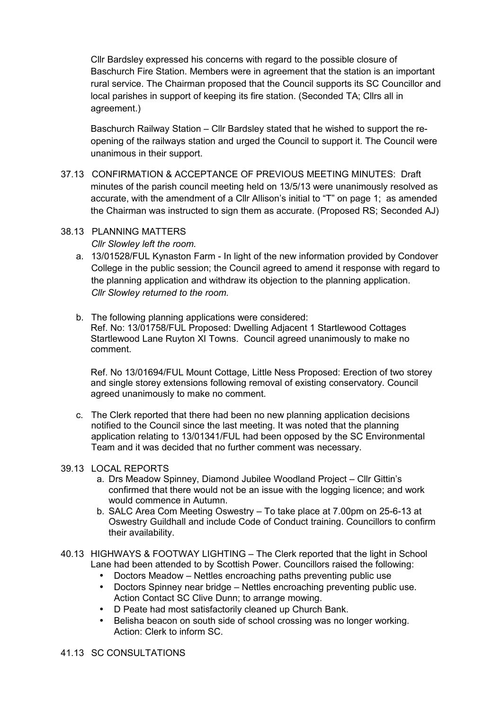Cllr Bardsley expressed his concerns with regard to the possible closure of Baschurch Fire Station. Members were in agreement that the station is an important rural service. The Chairman proposed that the Council supports its SC Councillor and local parishes in support of keeping its fire station. (Seconded TA; Cllrs all in agreement.)

Baschurch Railway Station – Cllr Bardsley stated that he wished to support the reopening of the railways station and urged the Council to support it. The Council were unanimous in their support.

37.13 CONFIRMATION & ACCEPTANCE OF PREVIOUS MEETING MINUTES: Draft minutes of the parish council meeting held on 13/5/13 were unanimously resolved as accurate, with the amendment of a Cllr Allison's initial to "T" on page 1; as amended the Chairman was instructed to sign them as accurate. (Proposed RS; Seconded AJ)

#### 38.13 PLANNING MATTERS *Cllr Slowley left the room.*

- a. 13/01528/FUL Kynaston Farm In light of the new information provided by Condover College in the public session; the Council agreed to amend it response with regard to the planning application and withdraw its objection to the planning application. *Cllr Slowley returned to the room.*
- b. The following planning applications were considered: Ref. No: 13/01758/FUL Proposed: Dwelling Adjacent 1 Startlewood Cottages Startlewood Lane Ruyton XI Towns. Council agreed unanimously to make no comment.

Ref. No 13/01694/FUL Mount Cottage, Little Ness Proposed: Erection of two storey and single storey extensions following removal of existing conservatory. Council agreed unanimously to make no comment.

c. The Clerk reported that there had been no new planning application decisions notified to the Council since the last meeting. It was noted that the planning application relating to 13/01341/FUL had been opposed by the SC Environmental Team and it was decided that no further comment was necessary.

#### 39.13 LOCAL REPORTS

- a. Drs Meadow Spinney, Diamond Jubilee Woodland Project Cllr Gittin's confirmed that there would not be an issue with the logging licence; and work would commence in Autumn.
- b. SALC Area Com Meeting Oswestry To take place at 7.00pm on 25-6-13 at Oswestry Guildhall and include Code of Conduct training. Councillors to confirm their availability.
- 40.13 HIGHWAYS & FOOTWAY LIGHTING The Clerk reported that the light in School Lane had been attended to by Scottish Power. Councillors raised the following:
	- Doctors Meadow Nettles encroaching paths preventing public use
	- Doctors Spinney near bridge Nettles encroaching preventing public use. Action Contact SC Clive Dunn; to arrange mowing.
	- D Peate had most satisfactorily cleaned up Church Bank.
	- Belisha beacon on south side of school crossing was no longer working. Action: Clerk to inform SC.

#### 41.13 SC CONSULTATIONS